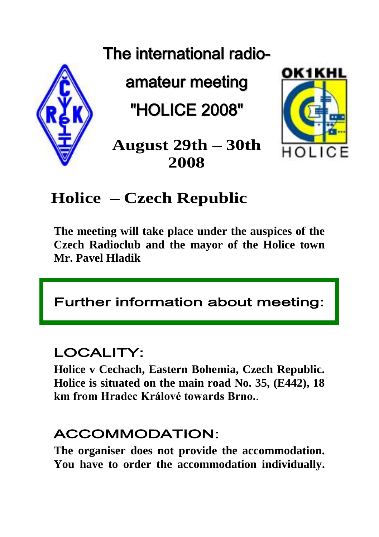# The international radio-



amateur meeting

"HOLICE 2008"



**August 29th – 30th 2008**

# **Holice – Czech Republic**

**The meeting will take place under the auspices of the Czech Radioclub and the mayor of the Holice town Mr. Pavel Hladik**

# Further information about meeting:

# LOCALITY:

**Holice v Cechach, Eastern Bohemia, Czech Republic. Holice is situated on the main road No. 35, (E442), 18 km from Hradec Králové towards Brno.**.

#### ACCOMMODATION:

**The organiser does not provide the accommodation. You have to order the accommodation individually.**